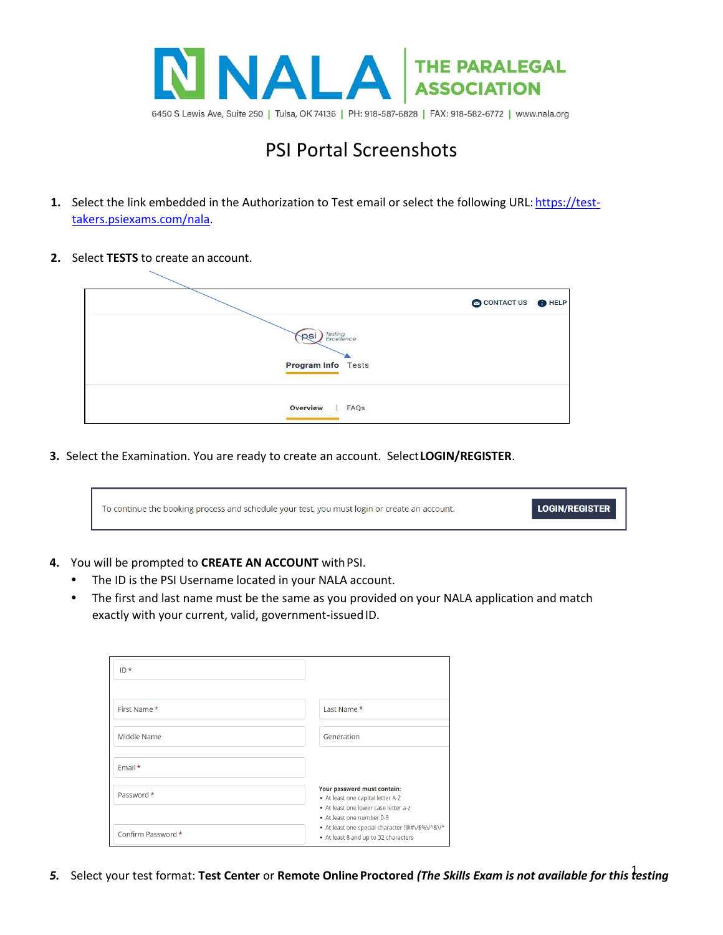

## PSI Portal Screenshots

- **1.** Select the link embedded in the Authorization to Test email or select the following URL: [https://test](https://test-takers.psiexams.com/nala)[takers.psiexams.com/nala.](https://test-takers.psiexams.com/nala)
- **2.** Select **TESTS** to create an account.

|                             | CONTACT US OHELP |
|-----------------------------|------------------|
| Testing<br>Excellence<br>ps |                  |
| <b>Program Info</b> Tests   |                  |
| Overview<br>FAQS            |                  |

**3.** Select the Examination. You are ready to create an account. Select**LOGIN/REGISTER**.

| To continue the booking process and schedule your test, you must login or create an account. | LOGIN/REGISTER |
|----------------------------------------------------------------------------------------------|----------------|
|----------------------------------------------------------------------------------------------|----------------|

## **4.** You will be prompted to **CREATE AN ACCOUNT** withPSI.

- The ID is the PSI Username located in your NALA account.
- The first and last name must be the same as you provided on your NALA application and match exactly with your current, valid, government-issued ID.

| $ID*$              |                                                                                                                                       |
|--------------------|---------------------------------------------------------------------------------------------------------------------------------------|
| First Name*        | Last Name *                                                                                                                           |
| Middle Name        | Generation                                                                                                                            |
| Email *            |                                                                                                                                       |
| Password *         | Your password must contain:<br>• At least one capital letter A-Z<br>• At least one lower case letter a-z<br>• At least one number 0-9 |
| Confirm Password * | + At least one special character !@#V\$%V^&V*<br>• At least 8 and up to 32 characters                                                 |

1 *5.* Select your test format: **Test Center** or **Remote Online Proctored** *(The Skills Exam is not available for this testing*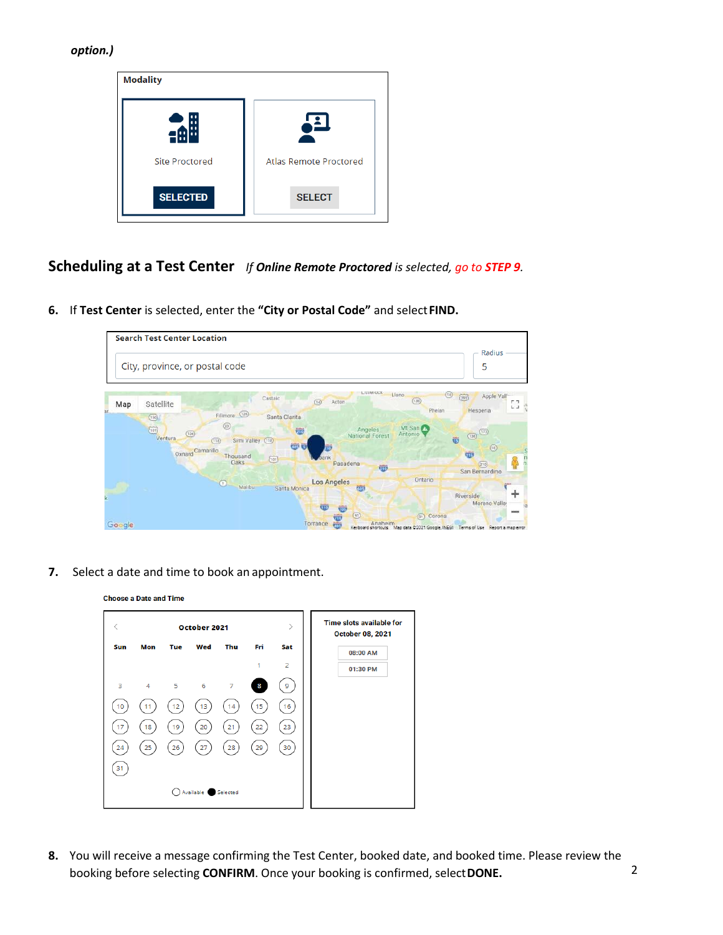## *option.)*

| <b>Modality</b>       |                               |
|-----------------------|-------------------------------|
|                       |                               |
| <b>Site Proctored</b> | <b>Atlas Remote Proctored</b> |
| <b>SELECTED</b>       | <b>SELECT</b>                 |

**Scheduling at a Test Center** *If Online Remote Proctored is selected, go to STEP 9.*

**6.** If **Test Center** is selected, enter the **"City or Postal Code"** and select**FIND.**



**7.** Select a date and time to book an appointment.

|     |                |               | October 2021 |                |     |                | <b>Time slots available for</b><br><b>October 08, 2021</b> |
|-----|----------------|---------------|--------------|----------------|-----|----------------|------------------------------------------------------------|
| Sun | Mon            | Tue           | Wed          | Thu            | Fri | Sat            | 08:00 AM                                                   |
|     |                |               |              |                | 1   | $\overline{2}$ | 01:30 PM                                                   |
| 3   | $\overline{4}$ | $5^{\circ}$ 6 |              | $\overline{7}$ | 8   | 9              |                                                            |
| 10  |                | 12            | 13           | 14             | 15  | 16             |                                                            |
| 17  | 18             | 19            | 20           | 21             | 22  | 23             |                                                            |
|     |                |               |              |                |     |                |                                                            |
| 24  | 25             | 26            | 27           | 28             | 29  | 30             |                                                            |
| 31  |                |               |              |                |     |                |                                                            |

**8.** You will receive a message confirming the Test Center, booked date, and booked time. Please review the booking before selecting **CONFIRM**. Once your booking is confirmed, select**DONE.**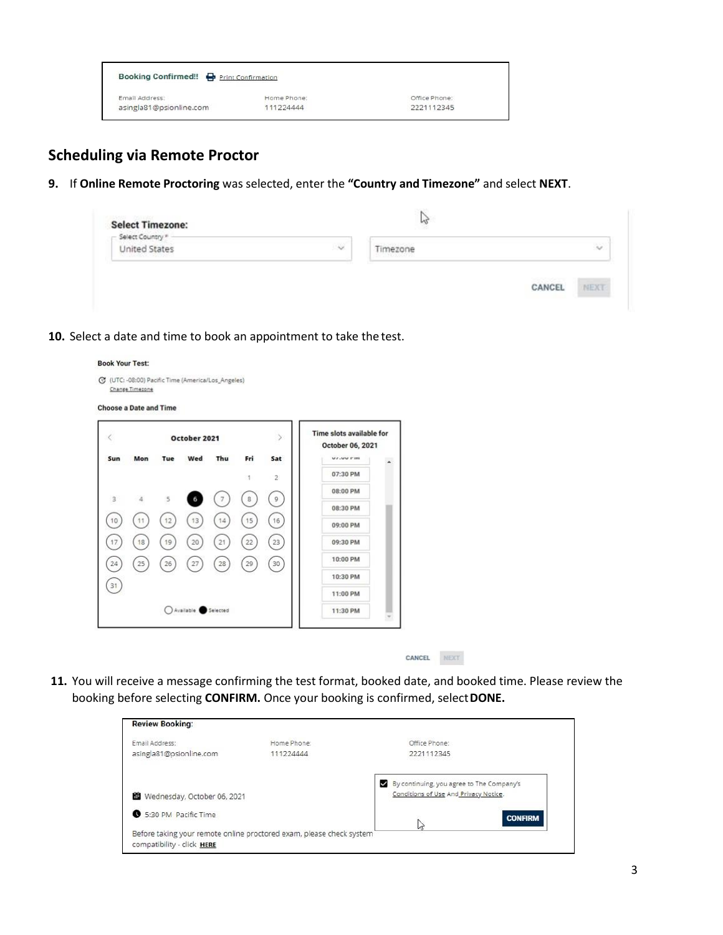| Booking Confirmed!! P Print Confirmation |             |               |  |
|------------------------------------------|-------------|---------------|--|
| Email Address:                           | Home Phone: | Office Phone: |  |
| asingla81@psionline.com                  | 111224444   | 2221112345    |  |

## **Scheduling via Remote Proctor**

**Book Your Test:** 

**9.** If **Online Remote Proctoring** was selected, enter the **"Country and Timezone"** and select **NEXT**.

|    | hó      |        |
|----|---------|--------|
| 14 | imezone | $\sim$ |
|    |         |        |
|    |         |        |

**10.** Select a date and time to book an appointment to take the test.

|     |            |     | October 2021       |        |              | ×              | Time slots available for<br>October 06, 2021 |                       |  |
|-----|------------|-----|--------------------|--------|--------------|----------------|----------------------------------------------|-----------------------|--|
| Sun | Mon        | Tue | Wed                | Thu    | Fri          | Sat            | <b>VI.UV FIN</b>                             | $\tilde{\phantom{a}}$ |  |
|     |            |     |                    |        | 1            | $\overline{2}$ | 07:30 PM                                     |                       |  |
| 3   | $\ddot{4}$ | 5   | 6                  | 7      | $\mathbf{g}$ | $\,$ 9         | 08:00 PM                                     |                       |  |
|     |            |     |                    |        |              |                | 08:30 PM                                     |                       |  |
| 10  | 11         | 12  | 13                 | 14     | 15           | 16             | 09:00 PM                                     |                       |  |
| 17  | 18         | 19  | 20                 | 21     | 22           | 23             | 09:30 PM                                     |                       |  |
| 24  | 25         | 26  | 27                 | $28\,$ | 29           | 30             | 10:00 PM                                     |                       |  |
|     |            |     |                    |        |              |                | 10:30 PM                                     |                       |  |
| 31  |            |     |                    |        |              |                | 11:00 PM                                     |                       |  |
|     |            |     | Available Selected |        |              |                | 11:30 PM                                     |                       |  |

**11.** You will receive a message confirming the test format, booked date, and booked time. Please review the booking before selecting **CONFIRM.** Once your booking is confirmed, select**DONE.**

| <b>Review Booking:</b>                                                                             |             |                                           |
|----------------------------------------------------------------------------------------------------|-------------|-------------------------------------------|
| Email Address:                                                                                     | Home Phone: | Office Phone:                             |
| asingla81@psionline.com                                                                            | 111224444   | 2221112345                                |
|                                                                                                    |             | By continuing, you agree to The Company's |
| Wednesday, October 06, 2021                                                                        |             | Conditions of Use And Privacy Notice.     |
| 5:30 PM Pacific Time                                                                               |             | <b>CONFIRM</b>                            |
| Before taking your remote online proctored exam, please check system<br>compatibility - click HERE |             | M                                         |